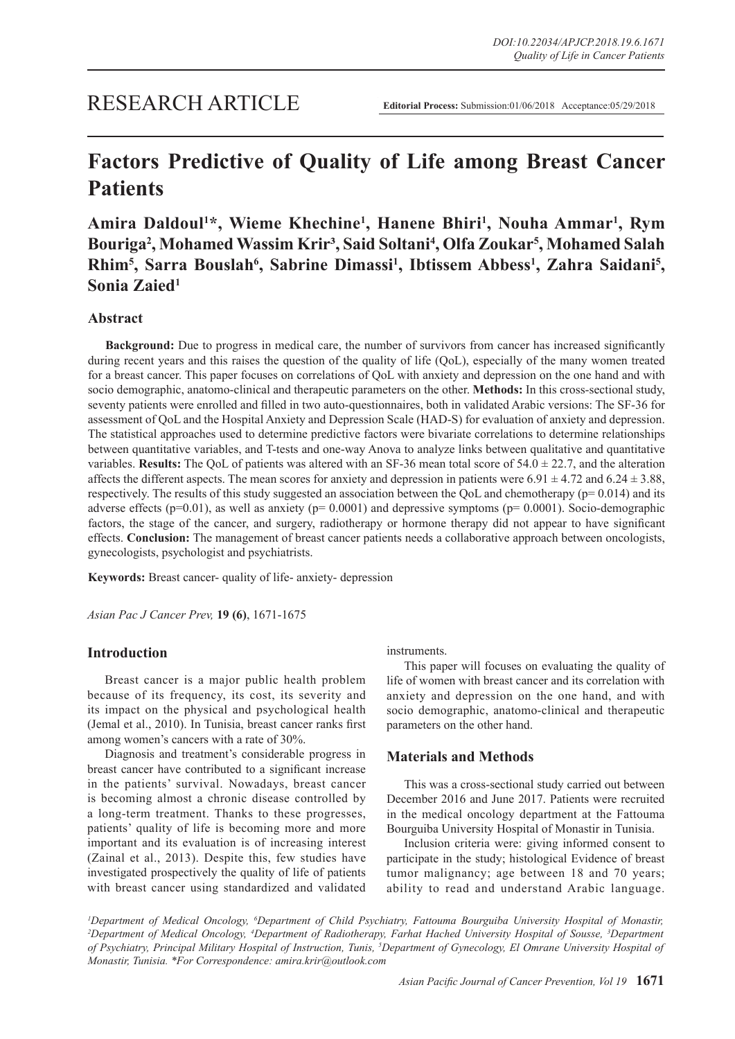# **Factors Predictive of Quality of Life among Breast Cancer Patients**

Amira Daldoul<sup>1\*</sup>, Wieme Khechine<sup>1</sup>, Hanene Bhiri<sup>1</sup>, Nouha Ammar<sup>1</sup>, Rym **Bouriga2 , Mohamed Wassim Krir³, Said Soltani4 , Olfa Zoukar5 , Mohamed Salah**  Rhim<sup>5</sup>, Sarra Bouslah<sup>6</sup>, Sabrine Dimassi<sup>1</sup>, Ibtissem Abbess<sup>1</sup>, Zahra Saidani<sup>5</sup>, **Sonia Zaied1**

## **Abstract**

**Background:** Due to progress in medical care, the number of survivors from cancer has increased significantly during recent years and this raises the question of the quality of life (QoL), especially of the many women treated for a breast cancer. This paper focuses on correlations of QoL with anxiety and depression on the one hand and with socio demographic, anatomo-clinical and therapeutic parameters on the other. **Methods:** In this cross-sectional study, seventy patients were enrolled and filled in two auto-questionnaires, both in validated Arabic versions: The SF-36 for assessment of QoL and the Hospital Anxiety and Depression Scale (HAD-S) for evaluation of anxiety and depression. The statistical approaches used to determine predictive factors were bivariate correlations to determine relationships between quantitative variables, and T-tests and one-way Anova to analyze links between qualitative and quantitative variables. **Results:** The QoL of patients was altered with an SF-36 mean total score of  $54.0 \pm 22.7$ , and the alteration affects the different aspects. The mean scores for anxiety and depression in patients were  $6.91 \pm 4.72$  and  $6.24 \pm 3.88$ , respectively. The results of this study suggested an association between the OoL and chemotherapy ( $p= 0.014$ ) and its adverse effects ( $p=0.01$ ), as well as anxiety ( $p= 0.0001$ ) and depressive symptoms ( $p= 0.0001$ ). Socio-demographic factors, the stage of the cancer, and surgery, radiotherapy or hormone therapy did not appear to have significant effects. **Conclusion:** The management of breast cancer patients needs a collaborative approach between oncologists, gynecologists, psychologist and psychiatrists.

**Keywords:** Breast cancer- quality of life- anxiety- depression

*Asian Pac J Cancer Prev,* **19 (6)**, 1671-1675

## **Introduction**

Breast cancer is a major public health problem because of its frequency, its cost, its severity and its impact on the physical and psychological health (Jemal et al., 2010). In Tunisia, breast cancer ranks first among women's cancers with a rate of 30%.

Diagnosis and treatment's considerable progress in breast cancer have contributed to a significant increase in the patients' survival. Nowadays, breast cancer is becoming almost a chronic disease controlled by a long-term treatment. Thanks to these progresses, patients' quality of life is becoming more and more important and its evaluation is of increasing interest (Zainal et al., 2013). Despite this, few studies have investigated prospectively the quality of life of patients with breast cancer using standardized and validated instruments.

This paper will focuses on evaluating the quality of life of women with breast cancer and its correlation with anxiety and depression on the one hand, and with socio demographic, anatomo-clinical and therapeutic parameters on the other hand.

# **Materials and Methods**

This was a cross-sectional study carried out between December 2016 and June 2017. Patients were recruited in the medical oncology department at the Fattouma Bourguiba University Hospital of Monastir in Tunisia.

Inclusion criteria were: giving informed consent to participate in the study; histological Evidence of breast tumor malignancy; age between 18 and 70 years; ability to read and understand Arabic language.

*1 Department of Medical Oncology, 6 Department of Child Psychiatry, Fattouma Bourguiba University Hospital of Monastir, 2 Department of Medical Oncology, 4 Department of Radiotherapy, Farhat Hached University Hospital of Sousse, 3 Department of Psychiatry, Principal Military Hospital of Instruction, Tunis, 5 Department of Gynecology, El Omrane University Hospital of Monastir, Tunisia. \*For Correspondence: amira.krir@outlook.com*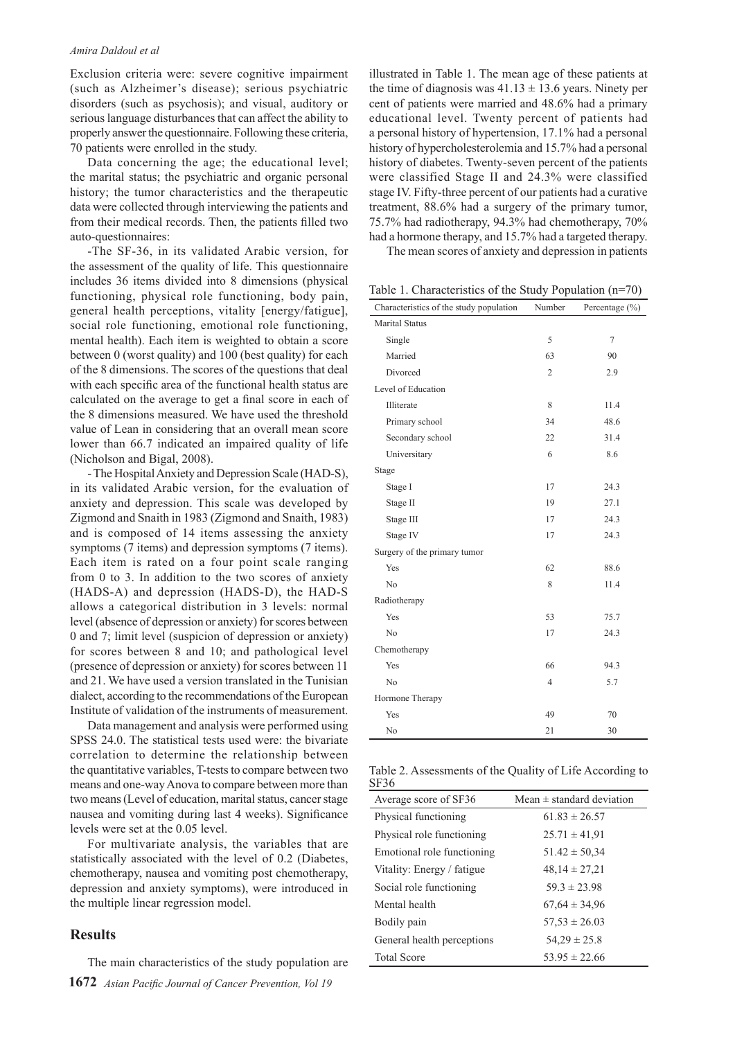#### *Amira Daldoul et al*

Exclusion criteria were: severe cognitive impairment (such as Alzheimer's disease); serious psychiatric disorders (such as psychosis); and visual, auditory or serious language disturbances that can affect the ability to properly answer the questionnaire. Following these criteria, 70 patients were enrolled in the study.

Data concerning the age; the educational level; the marital status; the psychiatric and organic personal history; the tumor characteristics and the therapeutic data were collected through interviewing the patients and from their medical records. Then, the patients filled two auto-questionnaires:

-The SF-36, in its validated Arabic version, for the assessment of the quality of life. This questionnaire includes 36 items divided into 8 dimensions (physical functioning, physical role functioning, body pain, general health perceptions, vitality [energy/fatigue], social role functioning, emotional role functioning, mental health). Each item is weighted to obtain a score between 0 (worst quality) and 100 (best quality) for each of the 8 dimensions. The scores of the questions that deal with each specific area of the functional health status are calculated on the average to get a final score in each of the 8 dimensions measured. We have used the threshold value of Lean in considering that an overall mean score lower than 66.7 indicated an impaired quality of life (Nicholson and Bigal, 2008).

- The Hospital Anxiety and Depression Scale (HAD-S), in its validated Arabic version, for the evaluation of anxiety and depression. This scale was developed by Zigmond and Snaith in 1983 (Zigmond and Snaith, 1983) and is composed of 14 items assessing the anxiety symptoms (7 items) and depression symptoms (7 items). Each item is rated on a four point scale ranging from 0 to 3. In addition to the two scores of anxiety (HADS-A) and depression (HADS-D), the HAD-S allows a categorical distribution in 3 levels: normal level (absence of depression or anxiety) for scores between 0 and 7; limit level (suspicion of depression or anxiety) for scores between 8 and 10; and pathological level (presence of depression or anxiety) for scores between 11 and 21. We have used a version translated in the Tunisian dialect, according to the recommendations of the European Institute of validation of the instruments of measurement.

Data management and analysis were performed using SPSS 24.0. The statistical tests used were: the bivariate correlation to determine the relationship between the quantitative variables, T-tests to compare between two means and one-way Anova to compare between more than two means (Level of education, marital status, cancer stage nausea and vomiting during last 4 weeks). Significance levels were set at the 0.05 level.

For multivariate analysis, the variables that are statistically associated with the level of 0.2 (Diabetes, chemotherapy, nausea and vomiting post chemotherapy, depression and anxiety symptoms), were introduced in the multiple linear regression model.

## **Results**

**1672** *Asian Pacific Journal of Cancer Prevention, Vol 19* The main characteristics of the study population are illustrated in Table 1. The mean age of these patients at the time of diagnosis was  $41.13 \pm 13.6$  years. Ninety per cent of patients were married and 48.6% had a primary educational level. Twenty percent of patients had a personal history of hypertension, 17.1% had a personal history of hypercholesterolemia and 15.7% had a personal history of diabetes. Twenty-seven percent of the patients were classified Stage II and 24.3% were classified stage IV. Fifty-three percent of our patients had a curative treatment, 88.6% had a surgery of the primary tumor, 75.7% had radiotherapy, 94.3% had chemotherapy, 70% had a hormone therapy, and 15.7% had a targeted therapy.

The mean scores of anxiety and depression in patients

Table 1. Characteristics of the Study Population (n=70)

| Characteristics of the study population | Number         | Percentage $(\% )$ |
|-----------------------------------------|----------------|--------------------|
| Marital Status                          |                |                    |
| Single                                  | 5              | $\overline{7}$     |
| Married                                 | 63             | 90                 |
| Divorced                                | $\overline{2}$ | 2.9                |
| Level of Education                      |                |                    |
| Illiterate                              | 8              | 11.4               |
| Primary school                          | 34             | 48.6               |
| Secondary school                        | 22             | 31.4               |
| Universitary                            | 6              | 8.6                |
| Stage                                   |                |                    |
| Stage I                                 | 17             | 24.3               |
| Stage II                                | 19             | 27.1               |
| Stage III                               | 17             | 24.3               |
| Stage IV                                | 17             | 24.3               |
| Surgery of the primary tumor            |                |                    |
| Yes                                     | 62             | 88.6               |
| N <sub>0</sub>                          | 8              | 11.4               |
| Radiotherapy                            |                |                    |
| Yes                                     | 53             | 75.7               |
| N <sub>0</sub>                          | 17             | 24.3               |
| Chemotherapy                            |                |                    |
| Yes                                     | 66             | 94.3               |
| N <sub>0</sub>                          | $\overline{4}$ | 5.7                |
| Hormone Therapy                         |                |                    |
| Yes                                     | 49             | 70                 |
| No                                      | 21             | 30                 |

|      | Table 2. Assessments of the Quality of Life According to |
|------|----------------------------------------------------------|
| SF36 |                                                          |

| Average score of SF36      | Mean $\pm$ standard deviation |
|----------------------------|-------------------------------|
| Physical functioning       | $61.83 \pm 26.57$             |
| Physical role functioning  | $25.71 \pm 41.91$             |
| Emotional role functioning | $51.42 \pm 50.34$             |
| Vitality: Energy / fatigue | $48,14 \pm 27,21$             |
| Social role functioning    | $59.3 \pm 23.98$              |
| Mental health              | $67.64 \pm 34.96$             |
| Bodily pain                | $57.53 \pm 26.03$             |
| General health perceptions | $54.29 \pm 25.8$              |
| <b>Total Score</b>         | $53.95 \pm 22.66$             |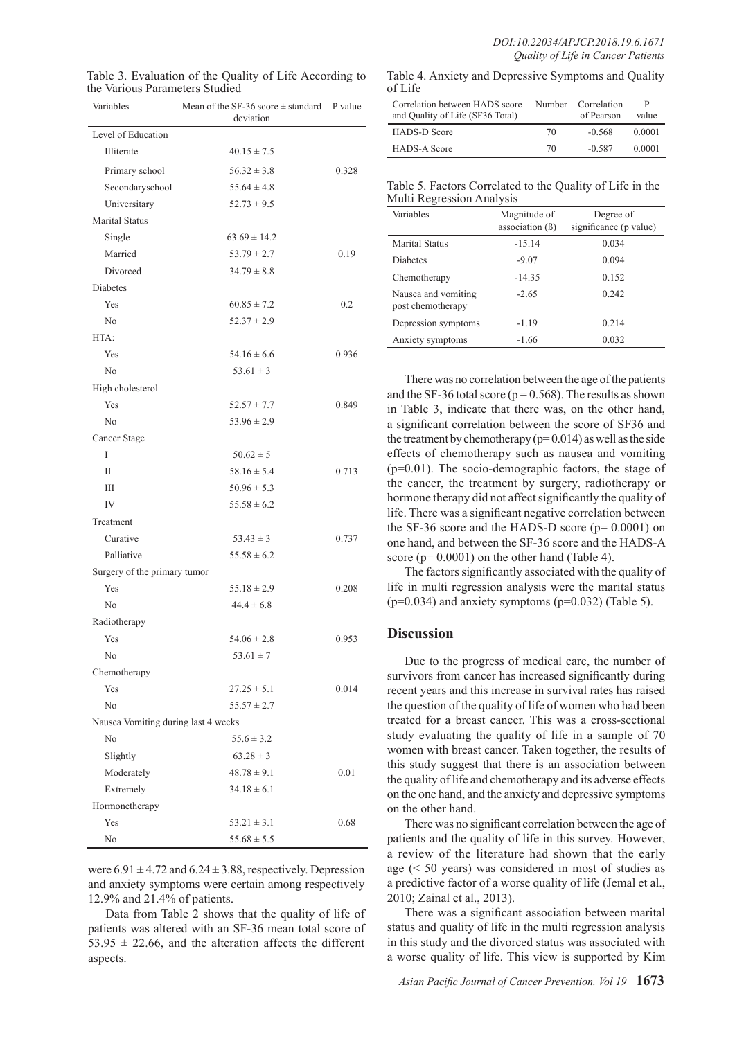| Variables                           | Mean of the SF-36 score $\pm$ standard<br>deviation | P value |
|-------------------------------------|-----------------------------------------------------|---------|
| Level of Education                  |                                                     |         |
| Illiterate                          | $40.15 \pm 7.5$                                     |         |
| Primary school                      | $56.32 \pm 3.8$                                     | 0.328   |
| Secondaryschool                     | $55.64 \pm 4.8$                                     |         |
| Universitary                        | $52.73 \pm 9.5$                                     |         |
| <b>Marital Status</b>               |                                                     |         |
| Single                              | $63.69 \pm 14.2$                                    |         |
| Married                             | $53.79 \pm 2.7$                                     | 0.19    |
| Divorced                            | $34.79 \pm 8.8$                                     |         |
| Diabetes                            |                                                     |         |
| Yes                                 | $60.85 \pm 7.2$                                     | 0.2     |
| No                                  | $52.37 \pm 2.9$                                     |         |
| HTA:                                |                                                     |         |
| Yes                                 | $54.16 \pm 6.6$                                     | 0.936   |
| No                                  | $53.61 \pm 3$                                       |         |
| High cholesterol                    |                                                     |         |
| Yes                                 | $52.57 \pm 7.7$                                     | 0.849   |
| N <sub>0</sub>                      | $53.96 \pm 2.9$                                     |         |
| Cancer Stage                        |                                                     |         |
| I                                   | $50.62 \pm 5$                                       |         |
| $\mathbf{I}$                        | $58.16 \pm 5.4$                                     | 0.713   |
| Ш                                   | $50.96 \pm 5.3$                                     |         |
| IV                                  | $55.58 \pm 6.2$                                     |         |
| Treatment                           |                                                     |         |
| Curative                            | $53.43 \pm 3$                                       | 0.737   |
| Palliative                          | $55.58 \pm 6.2$                                     |         |
| Surgery of the primary tumor        |                                                     |         |
| Yes                                 | $55.18 \pm 2.9$                                     | 0.208   |
| N <sub>0</sub>                      | $44.4 \pm 6.8$                                      |         |
| Radiotherapy                        |                                                     |         |
| Yes                                 | $54.06 \pm 2.8$                                     | 0.953   |
| No                                  | $53.61 \pm 7$                                       |         |
| Chemotherapy                        |                                                     |         |
| Yes                                 | $27.25 \pm 5.1$                                     | 0.014   |
| No                                  | $55.57 \pm 2.7$                                     |         |
| Nausea Vomiting during last 4 weeks |                                                     |         |
| N <sub>0</sub>                      | $55.6 \pm 3.2$                                      |         |
| Slightly                            | $63.28 \pm 3$                                       |         |
| Moderately                          | $48.78 \pm 9.1$                                     | 0.01    |
| Extremely                           | $34.18 \pm 6.1$                                     |         |
| Hormonetherapy                      |                                                     |         |
| Yes                                 | $53.21 \pm 3.1$                                     | 0.68    |
| No                                  | $55.68 \pm 5.5$                                     |         |

Table 3. Evaluation of the Quality of Life According to the Various Parameters Studied

Table 4. Anxiety and Depressive Symptoms and Quality of Life

| Correlation between HADS score<br>and Quality of Life (SF36 Total) | Number | Correlation<br>of Pearson | P<br>value |
|--------------------------------------------------------------------|--------|---------------------------|------------|
| <b>HADS-D Score</b>                                                | 70     | $-0.568$                  | 0.0001     |
| <b>HADS-A Score</b>                                                | 70     | $-0.587$                  | 0.0001     |

|                           | Table 5. Factors Correlated to the Quality of Life in the |
|---------------------------|-----------------------------------------------------------|
| Multi Regression Analysis |                                                           |

| Variables                                | Magnitude of<br>association $(\beta)$ | Degree of<br>significance (p value) |
|------------------------------------------|---------------------------------------|-------------------------------------|
| Marital Status                           | $-15.14$                              | 0.034                               |
| <b>Diabetes</b>                          | $-9.07$                               | 0.094                               |
| Chemotherapy                             | $-14.35$                              | 0.152                               |
| Nausea and vomiting<br>post chemotherapy | $-2.65$                               | 0.242                               |
| Depression symptoms                      | $-1.19$                               | 0.214                               |
| Anxiety symptoms                         | $-1.66$                               | 0.032                               |

There was no correlation between the age of the patients and the SF-36 total score ( $p = 0.568$ ). The results as shown in Table 3, indicate that there was, on the other hand, a significant correlation between the score of SF36 and the treatment by chemotherapy  $(p= 0.014)$  as well as the side effects of chemotherapy such as nausea and vomiting (p=0.01). The socio-demographic factors, the stage of the cancer, the treatment by surgery, radiotherapy or hormone therapy did not affect significantly the quality of life. There was a significant negative correlation between the SF-36 score and the HADS-D score  $(p= 0.0001)$  on one hand, and between the SF-36 score and the HADS-A score ( $p= 0.0001$ ) on the other hand (Table 4).

The factors significantly associated with the quality of life in multi regression analysis were the marital status  $(p=0.034)$  and anxiety symptoms  $(p=0.032)$  (Table 5).

## **Discussion**

Due to the progress of medical care, the number of survivors from cancer has increased significantly during recent years and this increase in survival rates has raised the question of the quality of life of women who had been treated for a breast cancer. This was a cross-sectional study evaluating the quality of life in a sample of 70 women with breast cancer. Taken together, the results of this study suggest that there is an association between the quality of life and chemotherapy and its adverse effects on the one hand, and the anxiety and depressive symptoms on the other hand.

There was no significant correlation between the age of patients and the quality of life in this survey. However, a review of the literature had shown that the early age (< 50 years) was considered in most of studies as a predictive factor of a worse quality of life (Jemal et al., 2010; Zainal et al., 2013).

There was a significant association between marital status and quality of life in the multi regression analysis in this study and the divorced status was associated with a worse quality of life. This view is supported by Kim

were  $6.91 \pm 4.72$  and  $6.24 \pm 3.88$ , respectively. Depression and anxiety symptoms were certain among respectively 12.9% and 21.4% of patients.

Data from Table 2 shows that the quality of life of patients was altered with an SF-36 mean total score of  $53.95 \pm 22.66$ , and the alteration affects the different aspects.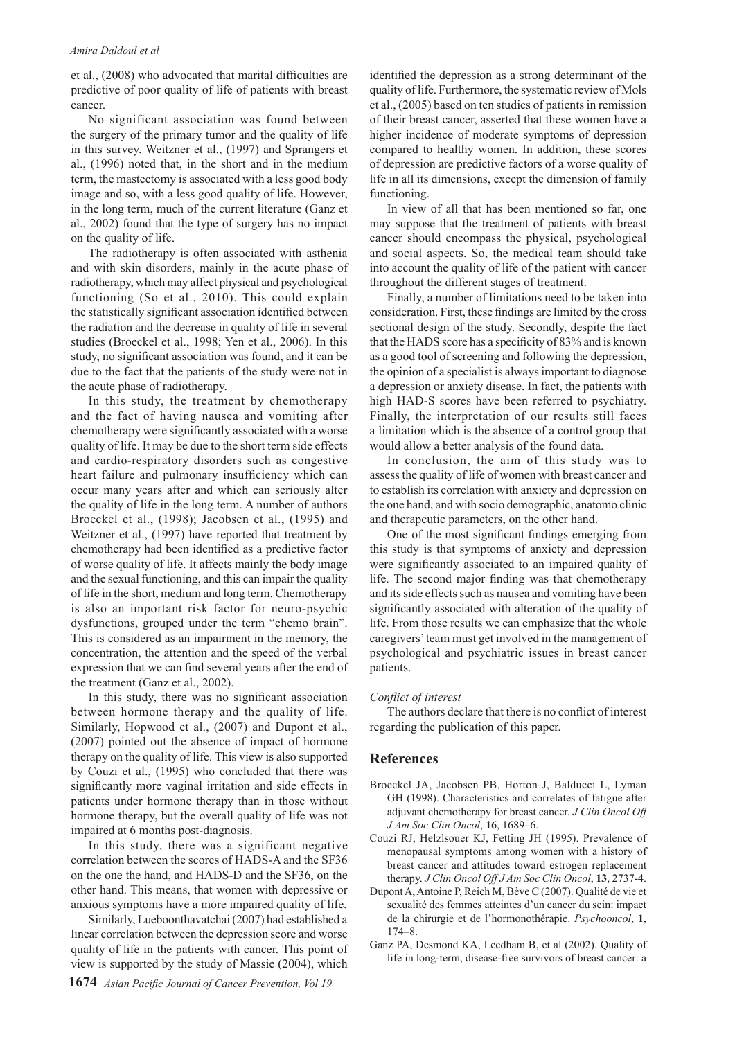et al., (2008) who advocated that marital difficulties are predictive of poor quality of life of patients with breast cancer.

No significant association was found between the surgery of the primary tumor and the quality of life in this survey. Weitzner et al., (1997) and Sprangers et al., (1996) noted that, in the short and in the medium term, the mastectomy is associated with a less good body image and so, with a less good quality of life. However, in the long term, much of the current literature (Ganz et al., 2002) found that the type of surgery has no impact on the quality of life.

The radiotherapy is often associated with asthenia and with skin disorders, mainly in the acute phase of radiotherapy, which may affect physical and psychological functioning (So et al., 2010). This could explain the statistically significant association identified between the radiation and the decrease in quality of life in several studies (Broeckel et al., 1998; Yen et al., 2006). In this study, no significant association was found, and it can be due to the fact that the patients of the study were not in the acute phase of radiotherapy.

In this study, the treatment by chemotherapy and the fact of having nausea and vomiting after chemotherapy were significantly associated with a worse quality of life. It may be due to the short term side effects and cardio-respiratory disorders such as congestive heart failure and pulmonary insufficiency which can occur many years after and which can seriously alter the quality of life in the long term. A number of authors Broeckel et al., (1998); Jacobsen et al., (1995) and Weitzner et al., (1997) have reported that treatment by chemotherapy had been identified as a predictive factor of worse quality of life. It affects mainly the body image and the sexual functioning, and this can impair the quality of life in the short, medium and long term. Chemotherapy is also an important risk factor for neuro-psychic dysfunctions, grouped under the term "chemo brain". This is considered as an impairment in the memory, the concentration, the attention and the speed of the verbal expression that we can find several years after the end of the treatment (Ganz et al., 2002).

In this study, there was no significant association between hormone therapy and the quality of life. Similarly, Hopwood et al., (2007) and Dupont et al., (2007) pointed out the absence of impact of hormone therapy on the quality of life. This view is also supported by Couzi et al., (1995) who concluded that there was significantly more vaginal irritation and side effects in patients under hormone therapy than in those without hormone therapy, but the overall quality of life was not impaired at 6 months post-diagnosis.

In this study, there was a significant negative correlation between the scores of HADS-A and the SF36 on the one the hand, and HADS-D and the SF36, on the other hand. This means, that women with depressive or anxious symptoms have a more impaired quality of life.

Similarly, Lueboonthavatchai (2007) had established a linear correlation between the depression score and worse quality of life in the patients with cancer. This point of view is supported by the study of Massie (2004), which

identified the depression as a strong determinant of the quality of life. Furthermore, the systematic review of Mols et al., (2005) based on ten studies of patients in remission of their breast cancer, asserted that these women have a higher incidence of moderate symptoms of depression compared to healthy women. In addition, these scores of depression are predictive factors of a worse quality of life in all its dimensions, except the dimension of family functioning.

In view of all that has been mentioned so far, one may suppose that the treatment of patients with breast cancer should encompass the physical, psychological and social aspects. So, the medical team should take into account the quality of life of the patient with cancer throughout the different stages of treatment.

Finally, a number of limitations need to be taken into consideration. First, these findings are limited by the cross sectional design of the study. Secondly, despite the fact that the HADS score has a specificity of 83% and is known as a good tool of screening and following the depression, the opinion of a specialist is always important to diagnose a depression or anxiety disease. In fact, the patients with high HAD-S scores have been referred to psychiatry. Finally, the interpretation of our results still faces a limitation which is the absence of a control group that would allow a better analysis of the found data.

In conclusion, the aim of this study was to assess the quality of life of women with breast cancer and to establish its correlation with anxiety and depression on the one hand, and with socio demographic, anatomo clinic and therapeutic parameters, on the other hand.

One of the most significant findings emerging from this study is that symptoms of anxiety and depression were significantly associated to an impaired quality of life. The second major finding was that chemotherapy and its side effects such as nausea and vomiting have been significantly associated with alteration of the quality of life. From those results we can emphasize that the whole caregivers' team must get involved in the management of psychological and psychiatric issues in breast cancer patients.

#### *Conflict of interest*

The authors declare that there is no conflict of interest regarding the publication of this paper.

#### **References**

- Broeckel JA, Jacobsen PB, Horton J, Balducci L, Lyman GH (1998). Characteristics and correlates of fatigue after adjuvant chemotherapy for breast cancer. *J Clin Oncol Off J Am Soc Clin Oncol*, **16**, 1689–6.
- Couzi RJ, Helzlsouer KJ, Fetting JH (1995). Prevalence of menopausal symptoms among women with a history of breast cancer and attitudes toward estrogen replacement therapy. *J Clin Oncol Off J Am Soc Clin Oncol*, **13**, 2737-4.
- Dupont A, Antoine P, Reich M, Bève C (2007). Qualité de vie et sexualité des femmes atteintes d'un cancer du sein: impact de la chirurgie et de l'hormonothérapie. *Psychooncol*, **1**, 174–8.
- Ganz PA, Desmond KA, Leedham B, et al (2002). Quality of life in long-term, disease-free survivors of breast cancer: a